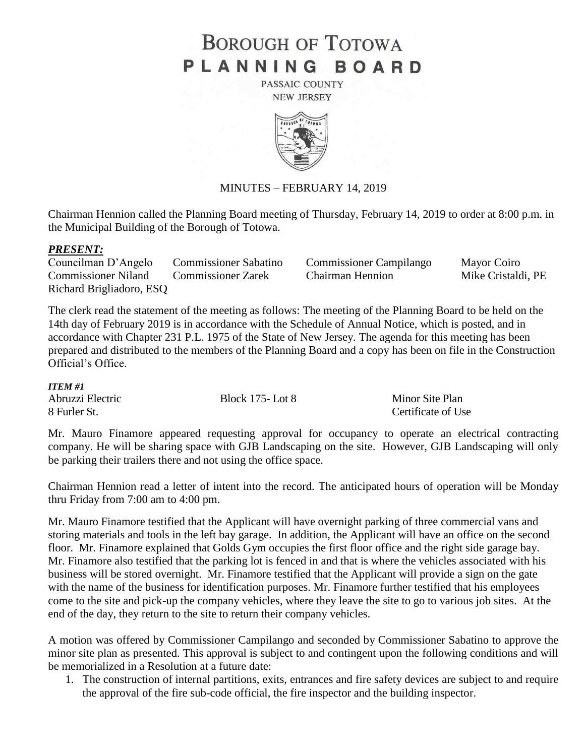# **BOROUGH OF TOTOWA** PLANNING BOARD

PASSAIC COUNTY **NEW JERSEY** 



## MINUTES – FEBRUARY 14, 2019

Chairman Hennion called the Planning Board meeting of Thursday, February 14, 2019 to order at 8:00 p.m. in the Municipal Building of the Borough of Totowa.

#### *PRESENT:*

Councilman D'Angelo Commissioner Sabatino Commissioner Campilango Mayor Coiro Commissioner Niland Commissioner Zarek Chairman Hennion Mike Cristaldi, PE Richard Brigliadoro, ESQ

The clerk read the statement of the meeting as follows: The meeting of the Planning Board to be held on the 14th day of February 2019 is in accordance with the Schedule of Annual Notice, which is posted, and in accordance with Chapter 231 P.L. 1975 of the State of New Jersey. The agenda for this meeting has been prepared and distributed to the members of the Planning Board and a copy has been on file in the Construction Official's Office.

#### *ITEM #1*

| .                |                        |                    |
|------------------|------------------------|--------------------|
| Abruzzi Electric | <b>Block 175-Lot 8</b> | Minor Site Plan    |
| 8 Furler St.     |                        | Certificate of Use |

Mr. Mauro Finamore appeared requesting approval for occupancy to operate an electrical contracting company. He will be sharing space with GJB Landscaping on the site. However, GJB Landscaping will only be parking their trailers there and not using the office space.

Chairman Hennion read a letter of intent into the record. The anticipated hours of operation will be Monday thru Friday from 7:00 am to 4:00 pm.

Mr. Mauro Finamore testified that the Applicant will have overnight parking of three commercial vans and storing materials and tools in the left bay garage. In addition, the Applicant will have an office on the second floor. Mr. Finamore explained that Golds Gym occupies the first floor office and the right side garage bay. Mr. Finamore also testified that the parking lot is fenced in and that is where the vehicles associated with his business will be stored overnight. Mr. Finamore testified that the Applicant will provide a sign on the gate with the name of the business for identification purposes. Mr. Finamore further testified that his employees come to the site and pick-up the company vehicles, where they leave the site to go to various job sites. At the end of the day, they return to the site to return their company vehicles.

A motion was offered by Commissioner Campilango and seconded by Commissioner Sabatino to approve the minor site plan as presented. This approval is subject to and contingent upon the following conditions and will be memorialized in a Resolution at a future date:

1. The construction of internal partitions, exits, entrances and fire safety devices are subject to and require the approval of the fire sub-code official, the fire inspector and the building inspector.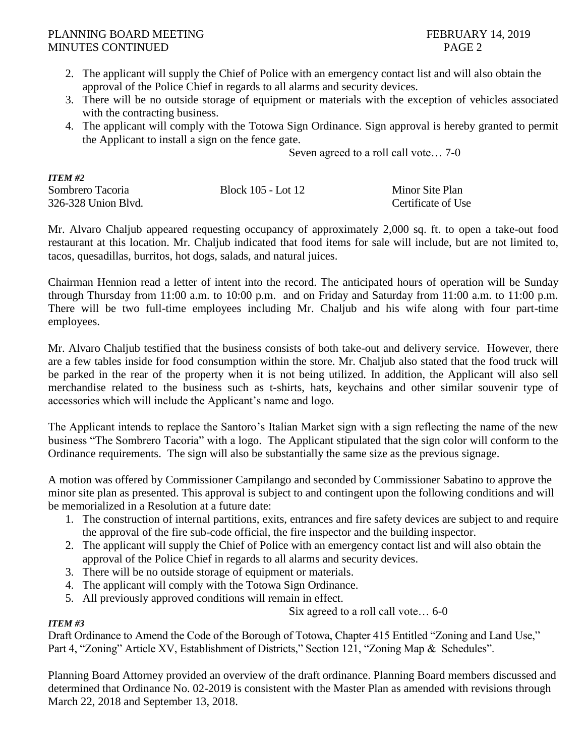## PLANNING BOARD MEETING FEBRUARY 14, 2019 MINUTES CONTINUED PAGE 2

- 2. The applicant will supply the Chief of Police with an emergency contact list and will also obtain the approval of the Police Chief in regards to all alarms and security devices.
- 3. There will be no outside storage of equipment or materials with the exception of vehicles associated with the contracting business.
- 4. The applicant will comply with the Totowa Sign Ordinance. Sign approval is hereby granted to permit the Applicant to install a sign on the fence gate.

Seven agreed to a roll call vote… 7-0

| <b>ITEM #2</b>      |                    |                    |
|---------------------|--------------------|--------------------|
| Sombrero Tacoria    | Block 105 - Lot 12 | Minor Site Plan    |
| 326-328 Union Blvd. |                    | Certificate of Use |

Mr. Alvaro Chaljub appeared requesting occupancy of approximately 2,000 sq. ft. to open a take-out food restaurant at this location. Mr. Chaljub indicated that food items for sale will include, but are not limited to, tacos, quesadillas, burritos, hot dogs, salads, and natural juices.

Chairman Hennion read a letter of intent into the record. The anticipated hours of operation will be Sunday through Thursday from 11:00 a.m. to 10:00 p.m. and on Friday and Saturday from 11:00 a.m. to 11:00 p.m. There will be two full-time employees including Mr. Chaljub and his wife along with four part-time employees.

Mr. Alvaro Chaljub testified that the business consists of both take-out and delivery service. However, there are a few tables inside for food consumption within the store. Mr. Chaljub also stated that the food truck will be parked in the rear of the property when it is not being utilized. In addition, the Applicant will also sell merchandise related to the business such as t-shirts, hats, keychains and other similar souvenir type of accessories which will include the Applicant's name and logo.

The Applicant intends to replace the Santoro's Italian Market sign with a sign reflecting the name of the new business "The Sombrero Tacoria" with a logo. The Applicant stipulated that the sign color will conform to the Ordinance requirements. The sign will also be substantially the same size as the previous signage.

A motion was offered by Commissioner Campilango and seconded by Commissioner Sabatino to approve the minor site plan as presented. This approval is subject to and contingent upon the following conditions and will be memorialized in a Resolution at a future date:

- 1. The construction of internal partitions, exits, entrances and fire safety devices are subject to and require the approval of the fire sub-code official, the fire inspector and the building inspector.
- 2. The applicant will supply the Chief of Police with an emergency contact list and will also obtain the approval of the Police Chief in regards to all alarms and security devices.
- 3. There will be no outside storage of equipment or materials.
- 4. The applicant will comply with the Totowa Sign Ordinance.
- 5. All previously approved conditions will remain in effect.

Six agreed to a roll call vote… 6-0

# *ITEM #3*

Draft Ordinance to Amend the Code of the Borough of Totowa, Chapter 415 Entitled "Zoning and Land Use," Part 4, "Zoning" Article XV, Establishment of Districts," Section 121, "Zoning Map & Schedules".

Planning Board Attorney provided an overview of the draft ordinance. Planning Board members discussed and determined that Ordinance No. 02-2019 is consistent with the Master Plan as amended with revisions through March 22, 2018 and September 13, 2018.